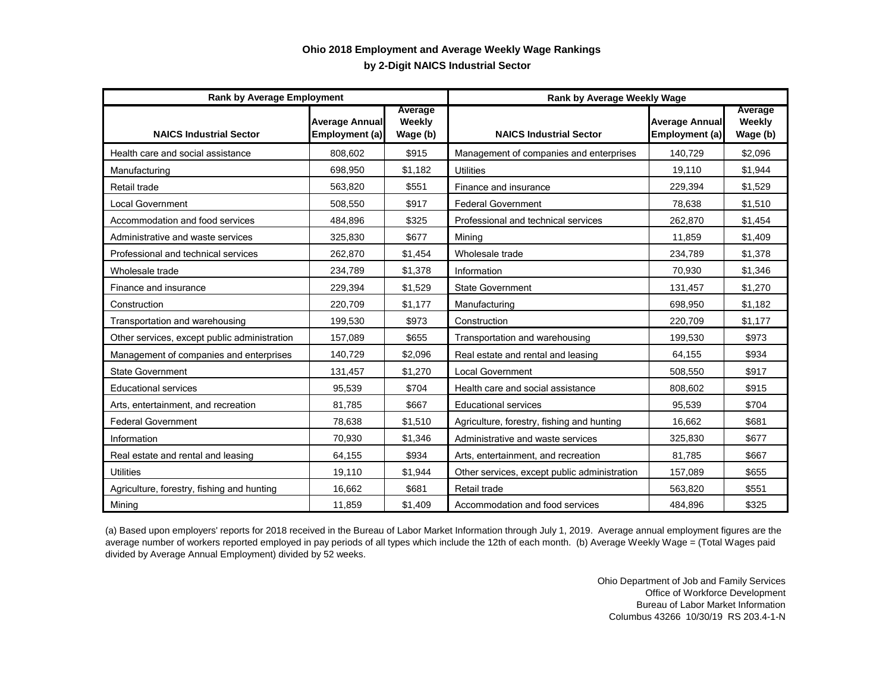## **by 2-Digit NAICS Industrial Sector Ohio 2018 Employment and Average Weekly Wage Rankings**

| <b>Rank by Average Employment</b>            |                                         |                               | <b>Rank by Average Weekly Wage</b>           |                                         |                               |
|----------------------------------------------|-----------------------------------------|-------------------------------|----------------------------------------------|-----------------------------------------|-------------------------------|
| <b>NAICS Industrial Sector</b>               | <b>Average Annual</b><br>Employment (a) | Average<br>Weekly<br>Wage (b) | <b>NAICS Industrial Sector</b>               | <b>Average Annual</b><br>Employment (a) | Average<br>Weekly<br>Wage (b) |
| Health care and social assistance            | 808,602                                 | \$915                         | Management of companies and enterprises      | 140,729                                 | \$2,096                       |
| Manufacturing                                | 698,950                                 | \$1,182                       | <b>Utilities</b>                             | 19,110                                  | \$1,944                       |
| Retail trade                                 | 563,820                                 | \$551                         | Finance and insurance                        | 229,394                                 | \$1,529                       |
| <b>Local Government</b>                      | 508,550                                 | \$917                         | <b>Federal Government</b>                    | 78,638                                  | \$1,510                       |
| Accommodation and food services              | 484,896                                 | \$325                         | Professional and technical services          | 262,870                                 | \$1,454                       |
| Administrative and waste services            | 325,830                                 | \$677                         | Mining                                       | 11,859                                  | \$1,409                       |
| Professional and technical services          | 262,870                                 | \$1,454                       | Wholesale trade                              | 234,789                                 | \$1,378                       |
| Wholesale trade                              | 234,789                                 | \$1,378                       | Information                                  | 70,930                                  | \$1,346                       |
| Finance and insurance                        | 229,394                                 | \$1,529                       | <b>State Government</b>                      | 131,457                                 | \$1,270                       |
| Construction                                 | 220,709                                 | \$1,177                       | Manufacturing                                | 698,950                                 | \$1,182                       |
| Transportation and warehousing               | 199,530                                 | \$973                         | Construction                                 | 220,709                                 | \$1,177                       |
| Other services, except public administration | 157,089                                 | \$655                         | Transportation and warehousing               | 199,530                                 | \$973                         |
| Management of companies and enterprises      | 140,729                                 | \$2,096                       | Real estate and rental and leasing           | 64,155                                  | \$934                         |
| <b>State Government</b>                      | 131,457                                 | \$1,270                       | <b>Local Government</b>                      | 508,550                                 | \$917                         |
| <b>Educational services</b>                  | 95,539                                  | \$704                         | Health care and social assistance            | 808,602                                 | \$915                         |
| Arts, entertainment, and recreation          | 81,785                                  | \$667                         | <b>Educational services</b>                  | 95,539                                  | \$704                         |
| <b>Federal Government</b>                    | 78,638                                  | \$1,510                       | Agriculture, forestry, fishing and hunting   | 16,662                                  | \$681                         |
| Information                                  | 70,930                                  | \$1,346                       | Administrative and waste services            | 325,830                                 | \$677                         |
| Real estate and rental and leasing           | 64,155                                  | \$934                         | Arts, entertainment, and recreation          | 81,785                                  | \$667                         |
| <b>Utilities</b>                             | 19,110                                  | \$1,944                       | Other services, except public administration | 157,089                                 | \$655                         |
| Agriculture, forestry, fishing and hunting   | 16,662                                  | \$681                         | Retail trade                                 | 563,820                                 | \$551                         |
| Mining                                       | 11,859                                  | \$1,409                       | Accommodation and food services              | 484,896                                 | \$325                         |

(a) Based upon employers' reports for 2018 received in the Bureau of Labor Market Information through July 1, 2019. Average annual employment figures are the average number of workers reported employed in pay periods of all types which include the 12th of each month. (b) Average Weekly Wage = (Total Wages paid divided by Average Annual Employment) divided by 52 weeks.

> Ohio Department of Job and Family Services Office of Workforce Development Bureau of Labor Market Information Columbus 43266 10/30/19 RS 203.4-1-N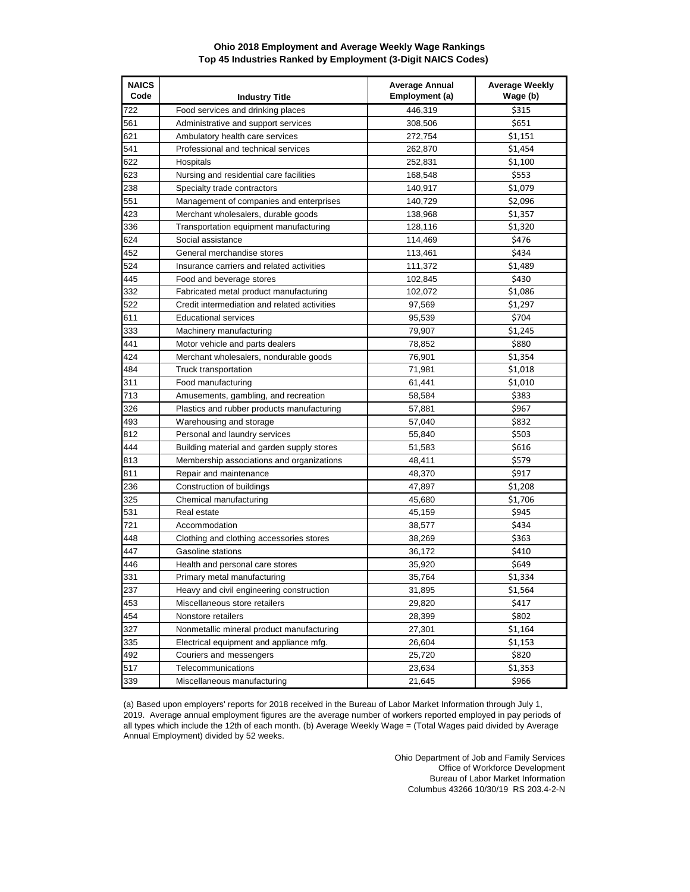## **Ohio 2018 Employment and Average Weekly Wage Rankings Top 45 Industries Ranked by Employment (3-Digit NAICS Codes)**

| <b>NAICS</b><br>Code | <b>Industry Title</b>                        | <b>Average Annual</b><br>Employment (a) | <b>Average Weekly</b><br>Wage (b) |
|----------------------|----------------------------------------------|-----------------------------------------|-----------------------------------|
| 722                  | Food services and drinking places            | 446,319                                 | \$315                             |
| 561                  | Administrative and support services          | 308,506                                 | \$651                             |
| 621                  | Ambulatory health care services              | 272,754                                 | \$1,151                           |
| 541                  | Professional and technical services          | 262,870                                 | \$1,454                           |
| 622                  | Hospitals                                    | 252,831                                 | \$1,100                           |
| 623                  | Nursing and residential care facilities      | 168,548                                 | \$553                             |
| 238                  | Specialty trade contractors                  | 140,917                                 | \$1,079                           |
| 551                  | Management of companies and enterprises      | 140,729                                 | \$2,096                           |
| 423                  | Merchant wholesalers, durable goods          | 138,968                                 | \$1,357                           |
| 336                  | Transportation equipment manufacturing       | 128,116                                 | \$1,320                           |
| 624                  | Social assistance                            | 114,469                                 | \$476                             |
| 452                  | General merchandise stores                   | 113,461                                 | \$434                             |
| 524                  | Insurance carriers and related activities    | 111,372                                 | \$1,489                           |
| 445                  | Food and beverage stores                     | 102,845                                 | \$430                             |
| 332                  | Fabricated metal product manufacturing       | 102,072                                 | \$1,086                           |
| 522                  | Credit intermediation and related activities | 97,569                                  | \$1,297                           |
| 611                  | <b>Educational services</b>                  | 95,539                                  | \$704                             |
| 333                  | Machinery manufacturing                      | 79,907                                  | \$1,245                           |
| 441                  | Motor vehicle and parts dealers              | 78,852                                  | \$880                             |
| 424                  | Merchant wholesalers, nondurable goods       | 76,901                                  | \$1,354                           |
| 484                  | Truck transportation                         | 71,981                                  | \$1,018                           |
| 311                  | Food manufacturing                           | 61,441                                  | \$1,010                           |
| 713                  | Amusements, gambling, and recreation         | 58,584                                  | \$383                             |
| 326                  | Plastics and rubber products manufacturing   | 57,881                                  | \$967                             |
| 493                  | Warehousing and storage                      | 57,040                                  | \$832                             |
| 812                  | Personal and laundry services                | 55,840                                  | \$503                             |
| 444                  | Building material and garden supply stores   | 51,583                                  | \$616                             |
| 813                  | Membership associations and organizations    | 48,411                                  | \$579                             |
| 811                  | Repair and maintenance                       | 48,370                                  | \$917                             |
| 236                  | Construction of buildings                    | 47,897                                  | \$1,208                           |
| 325                  | Chemical manufacturing                       | 45,680                                  | \$1,706                           |
| 531                  | Real estate                                  | 45,159                                  | \$945                             |
| 721                  | Accommodation                                | 38,577                                  | \$434                             |
| 448                  | Clothing and clothing accessories stores     | 38,269                                  | \$363                             |
| 447                  | Gasoline stations                            | 36,172                                  | \$410                             |
| 446                  | Health and personal care stores              | 35,920                                  | \$649                             |
| 331                  | Primary metal manufacturing                  | 35,764                                  | \$1,334                           |
| 237                  | Heavy and civil engineering construction     | 31,895                                  | \$1,564                           |
| 453                  | Miscellaneous store retailers                | 29,820                                  | \$417                             |
| 454                  | Nonstore retailers                           | 28,399                                  | \$802                             |
| 327                  | Nonmetallic mineral product manufacturing    | 27,301                                  | \$1,164                           |
| 335                  | Electrical equipment and appliance mfg.      | 26,604                                  | \$1,153                           |
| 492                  | Couriers and messengers                      | 25,720                                  | \$820                             |
| 517                  | Telecommunications                           | 23,634                                  | \$1,353                           |
| 339                  | Miscellaneous manufacturing                  | 21,645                                  | \$966                             |

(a) Based upon employers' reports for 2018 received in the Bureau of Labor Market Information through July 1, 2019. Average annual employment figures are the average number of workers reported employed in pay periods of all types which include the 12th of each month. (b) Average Weekly Wage = (Total Wages paid divided by Average Annual Employment) divided by 52 weeks.

> Ohio Department of Job and Family Services Office of Workforce Development Bureau of Labor Market Information Columbus 43266 10/30/19 RS 203.4-2-N